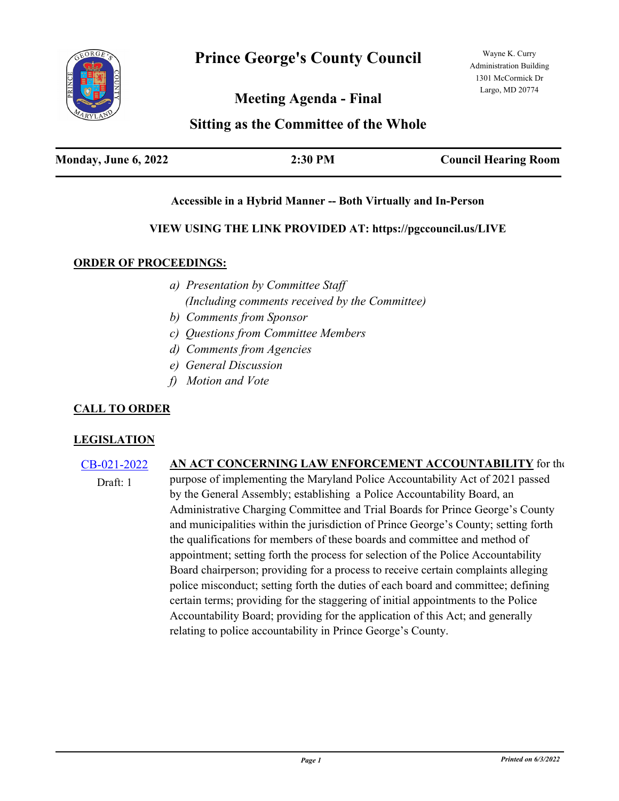

**Meeting Agenda - Final**

# **Sitting as the Committee of the Whole**

| Monday, June 6, 2022 | 2:30 PM | <b>Council Hearing Room</b> |
|----------------------|---------|-----------------------------|
|                      |         |                             |

#### **Accessible in a Hybrid Manner -- Both Virtually and In-Person**

#### **VIEW USING THE LINK PROVIDED AT: https://pgccouncil.us/LIVE**

#### **ORDER OF PROCEEDINGS:**

- *a) Presentation by Committee Staff (Including comments received by the Committee)*
- *b) Comments from Sponsor*
- *c) Questions from Committee Members*
- *d) Comments from Agencies*
- *e) General Discussion*
- *f) Motion and Vote*

## **CALL TO ORDER**

## **LEGISLATION**

## [CB-021-2022](http://princegeorgescountymd.legistar.com/gateway.aspx?m=l&id=/matter.aspx?key=14748) **AN ACT CONCERNING LAW ENFORCEMENT ACCOUNTABILITY** for the

purpose of implementing the Maryland Police Accountability Act of 2021 passed by the General Assembly; establishing a Police Accountability Board, an Administrative Charging Committee and Trial Boards for Prince George's County and municipalities within the jurisdiction of Prince George's County; setting forth the qualifications for members of these boards and committee and method of appointment; setting forth the process for selection of the Police Accountability Board chairperson; providing for a process to receive certain complaints alleging police misconduct; setting forth the duties of each board and committee; defining certain terms; providing for the staggering of initial appointments to the Police Accountability Board; providing for the application of this Act; and generally relating to police accountability in Prince George's County. Draft: 1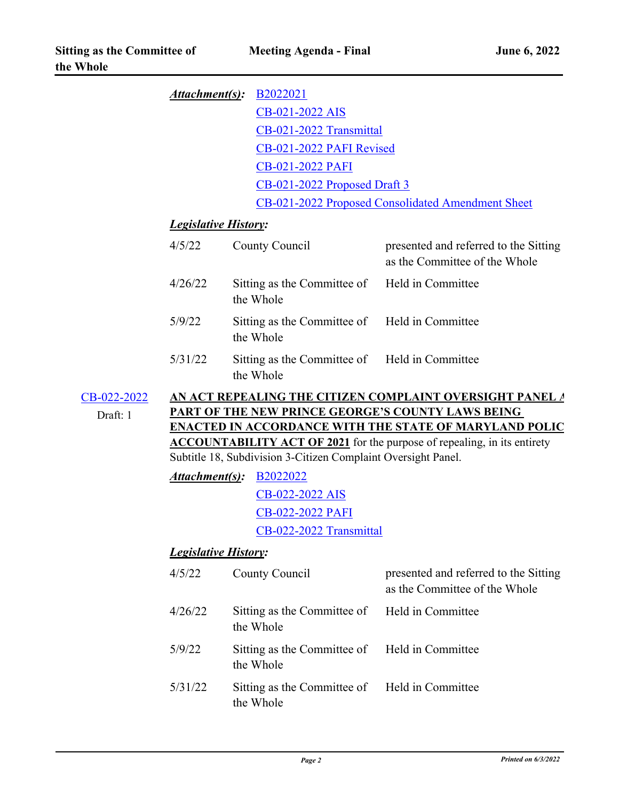|                         |                                                                                                                                                                                                                                                                                                                                           | <b>Attachment(s): B2022021</b>                    |                                                                        |  |  |
|-------------------------|-------------------------------------------------------------------------------------------------------------------------------------------------------------------------------------------------------------------------------------------------------------------------------------------------------------------------------------------|---------------------------------------------------|------------------------------------------------------------------------|--|--|
|                         |                                                                                                                                                                                                                                                                                                                                           | CB-021-2022 AIS                                   |                                                                        |  |  |
|                         |                                                                                                                                                                                                                                                                                                                                           | CB-021-2022 Transmittal                           |                                                                        |  |  |
|                         |                                                                                                                                                                                                                                                                                                                                           |                                                   | CB-021-2022 PAFI Revised                                               |  |  |
|                         |                                                                                                                                                                                                                                                                                                                                           | <b>CB-021-2022 PAFI</b>                           |                                                                        |  |  |
|                         |                                                                                                                                                                                                                                                                                                                                           |                                                   | CB-021-2022 Proposed Draft 3                                           |  |  |
|                         |                                                                                                                                                                                                                                                                                                                                           | CB-021-2022 Proposed Consolidated Amendment Sheet |                                                                        |  |  |
|                         | <b>Legislative History:</b>                                                                                                                                                                                                                                                                                                               |                                                   |                                                                        |  |  |
|                         | 4/5/22                                                                                                                                                                                                                                                                                                                                    | County Council                                    | presented and referred to the Sitting<br>as the Committee of the Whole |  |  |
|                         | 4/26/22                                                                                                                                                                                                                                                                                                                                   | Sitting as the Committee of<br>the Whole          | Held in Committee                                                      |  |  |
|                         | 5/9/22                                                                                                                                                                                                                                                                                                                                    | Sitting as the Committee of<br>the Whole          | Held in Committee                                                      |  |  |
|                         | 5/31/22                                                                                                                                                                                                                                                                                                                                   | Sitting as the Committee of<br>the Whole          | Held in Committee                                                      |  |  |
| CB-022-2022<br>Draft: 1 | AN ACT REPEALING THE CITIZEN COMPLAINT OVERSIGHT PANEL A<br><b>PART OF THE NEW PRINCE GEORGE'S COUNTY LAWS BEING</b><br><b>ENACTED IN ACCORDANCE WITH THE STATE OF MARYLAND POLIC</b><br><b>ACCOUNTABILITY ACT OF 2021</b> for the purpose of repealing, in its entirety<br>Subtitle 18, Subdivision 3-Citizen Complaint Oversight Panel. |                                                   |                                                                        |  |  |
|                         | <u>Attachment(s)</u> :<br>B <sub>2022022</sub>                                                                                                                                                                                                                                                                                            |                                                   |                                                                        |  |  |
|                         |                                                                                                                                                                                                                                                                                                                                           | CB-022-2022 AIS                                   |                                                                        |  |  |
|                         |                                                                                                                                                                                                                                                                                                                                           | <b>CB-022-2022 PAFI</b>                           |                                                                        |  |  |
|                         |                                                                                                                                                                                                                                                                                                                                           | CB-022-2022 Transmittal                           |                                                                        |  |  |
|                         | <b>Legislative History:</b>                                                                                                                                                                                                                                                                                                               |                                                   |                                                                        |  |  |
|                         | 4/5/22                                                                                                                                                                                                                                                                                                                                    | County Council                                    | presented and referred to the Sitting<br>as the Committee of the Whole |  |  |
|                         | 4/26/22                                                                                                                                                                                                                                                                                                                                   | Sitting as the Committee of<br>the Whole          | Held in Committee                                                      |  |  |
|                         | 5/9/22                                                                                                                                                                                                                                                                                                                                    | Sitting as the Committee of<br>the Whole          | Held in Committee                                                      |  |  |
|                         | 5/31/22                                                                                                                                                                                                                                                                                                                                   | Sitting as the Committee of<br>the Whole          | Held in Committee                                                      |  |  |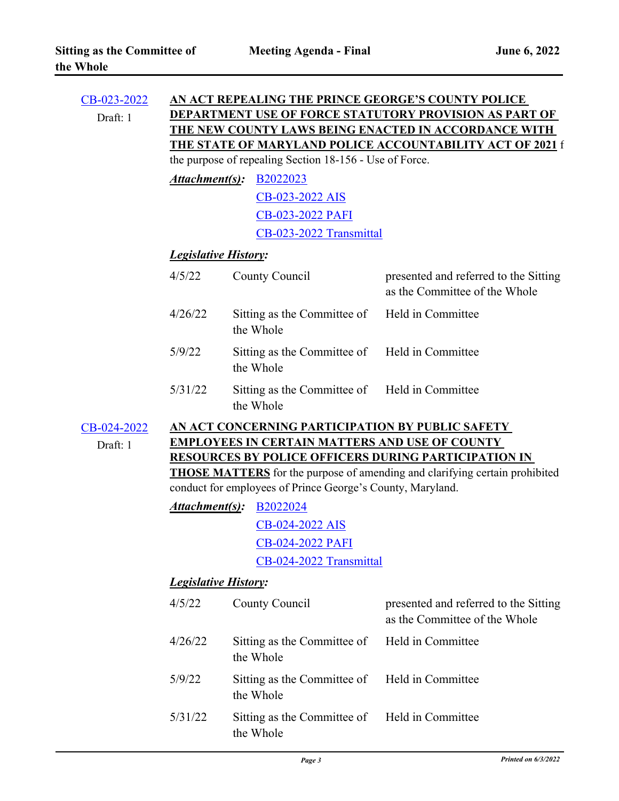| CB-023-2022 |                                                                                                                   | AN ACT REPEALING THE PRINCE GEORGE'S COUNTY POLICE                                 |                                                                        |  |  |  |
|-------------|-------------------------------------------------------------------------------------------------------------------|------------------------------------------------------------------------------------|------------------------------------------------------------------------|--|--|--|
| Draft: 1    |                                                                                                                   | <b>DEPARTMENT USE OF FORCE STATUTORY PROVISION AS PART OF</b>                      |                                                                        |  |  |  |
|             | THE NEW COUNTY LAWS BEING ENACTED IN ACCORDANCE WITH<br>THE STATE OF MARYLAND POLICE ACCOUNTABILITY ACT OF 2021 f |                                                                                    |                                                                        |  |  |  |
|             |                                                                                                                   |                                                                                    |                                                                        |  |  |  |
|             |                                                                                                                   | the purpose of repealing Section 18-156 - Use of Force.                            |                                                                        |  |  |  |
|             | Attachment(s):                                                                                                    | B <sub>2022023</sub>                                                               |                                                                        |  |  |  |
|             |                                                                                                                   | CB-023-2022 AIS                                                                    |                                                                        |  |  |  |
|             |                                                                                                                   | CB-023-2022 PAFI                                                                   |                                                                        |  |  |  |
|             |                                                                                                                   | CB-023-2022 Transmittal                                                            |                                                                        |  |  |  |
|             | <b>Legislative History:</b>                                                                                       |                                                                                    |                                                                        |  |  |  |
|             | 4/5/22                                                                                                            | County Council                                                                     | presented and referred to the Sitting<br>as the Committee of the Whole |  |  |  |
|             | 4/26/22                                                                                                           | Sitting as the Committee of<br>the Whole                                           | Held in Committee                                                      |  |  |  |
|             | 5/9/22                                                                                                            | Sitting as the Committee of<br>the Whole                                           | Held in Committee                                                      |  |  |  |
|             | 5/31/22                                                                                                           | Sitting as the Committee of<br>the Whole                                           | Held in Committee                                                      |  |  |  |
| CB-024-2022 |                                                                                                                   | AN ACT CONCERNING PARTICIPATION BY PUBLIC SAFETY                                   |                                                                        |  |  |  |
| Draft: 1    |                                                                                                                   | <b>EMPLOYEES IN CERTAIN MATTERS AND USE OF COUNTY</b>                              |                                                                        |  |  |  |
|             | <b>RESOURCES BY POLICE OFFICERS DURING PARTICIPATION IN</b>                                                       |                                                                                    |                                                                        |  |  |  |
|             |                                                                                                                   | <b>THOSE MATTERS</b> for the purpose of amending and clarifying certain prohibited |                                                                        |  |  |  |
|             |                                                                                                                   | conduct for employees of Prince George's County, Maryland.                         |                                                                        |  |  |  |
|             | <u>Attachment(s)</u> :                                                                                            | B <sub>2022024</sub>                                                               |                                                                        |  |  |  |
|             |                                                                                                                   | <u>CB-024-2022 AIS</u>                                                             |                                                                        |  |  |  |
|             |                                                                                                                   | CB-024-2022 PAFI                                                                   |                                                                        |  |  |  |
|             |                                                                                                                   | CB-024-2022 Transmittal                                                            |                                                                        |  |  |  |
|             |                                                                                                                   | <b>Legislative History:</b>                                                        |                                                                        |  |  |  |
|             | 4/5/22                                                                                                            | County Council                                                                     | presented and referred to the Sitting<br>as the Committee of the Whole |  |  |  |
|             | 4/26/22                                                                                                           | Sitting as the Committee of<br>the Whole                                           | Held in Committee                                                      |  |  |  |
|             | 5/9/22                                                                                                            | Sitting as the Committee of<br>the Whole                                           | Held in Committee                                                      |  |  |  |
|             | 5/31/22                                                                                                           | Sitting as the Committee of                                                        | Held in Committee                                                      |  |  |  |

the Whole